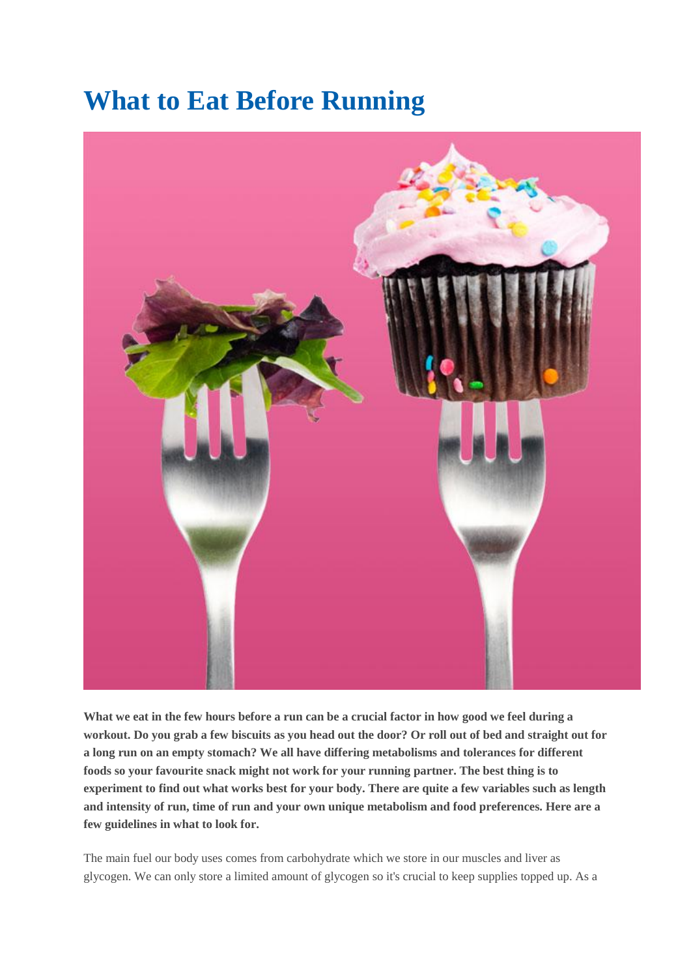## **What to Eat Before Running**



**What we eat in the few hours before a run can be a crucial factor in how good we feel during a workout. Do you grab a few biscuits as you head out the door? Or roll out of bed and straight out for a long run on an empty stomach? We all have differing metabolisms and tolerances for different foods so your favourite snack might not work for your running partner. The best thing is to experiment to find out what works best for your body. There are quite a few variables such as length and intensity of run, time of run and your own unique metabolism and food preferences. Here are a few guidelines in what to look for.**

The main fuel our body uses comes from carbohydrate which we store in our muscles and liver as glycogen. We can only store a limited amount of glycogen so it's crucial to keep supplies topped up. As a